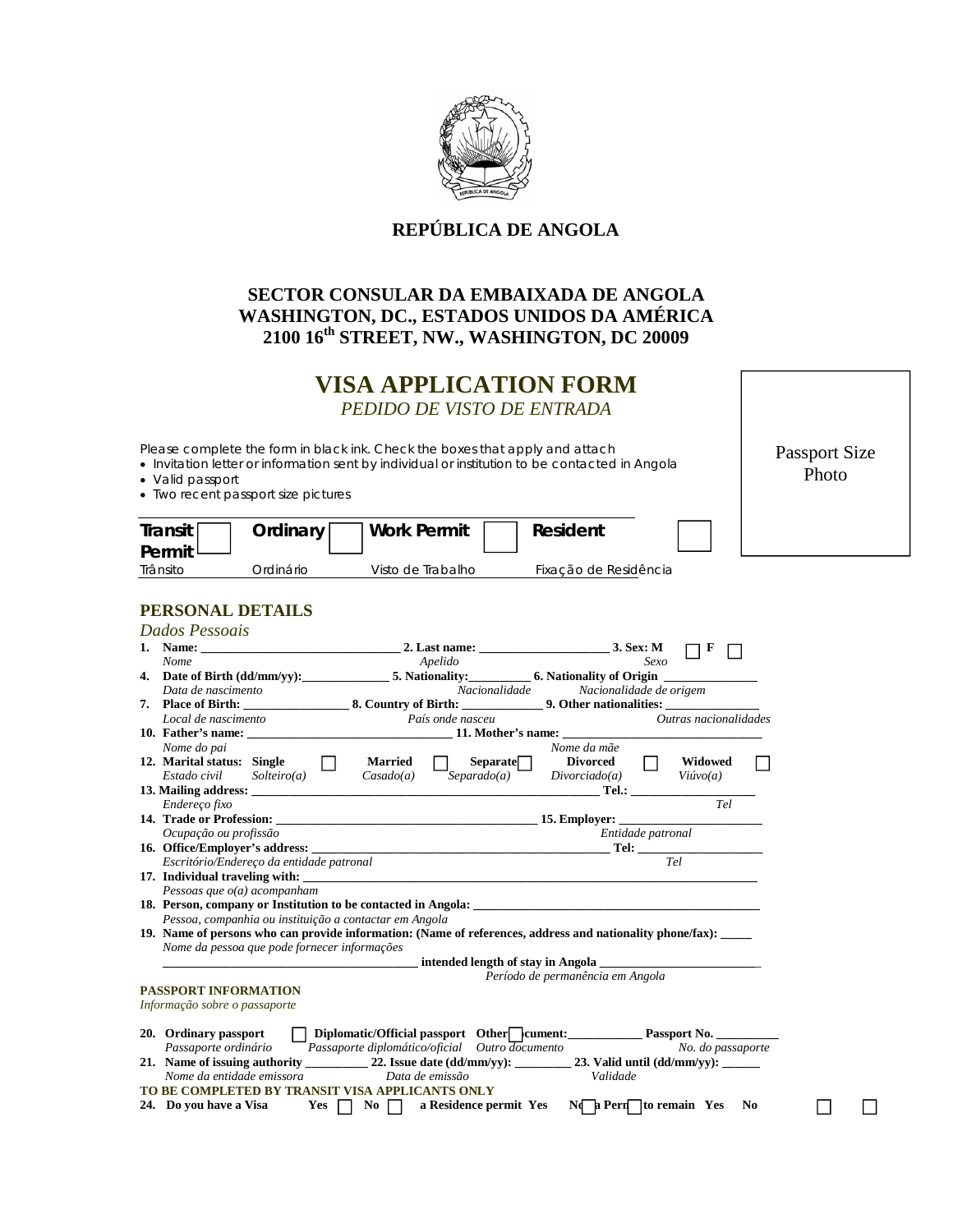

## **REPÚBLICA DE ANGOLA**

## **SECTOR CONSULAR DA EMBAIXADA DE ANGOLA WASHINGTON, DC., ESTADOS UNIDOS DA AMÉRICA 2100 16th STREET, NW., WASHINGTON, DC 20009**

## **VISA APPLICATION FORM** *PEDIDO DE VISTO DE ENTRADA*

Please complete the form in black ink. Check the boxes that apply and attach

Invitation letter or information sent by individual or institution to be contacted in Angola

- Valid passport
- Two recent passport size pictures

| <b>Passport Size</b> |  |  |  |  |  |
|----------------------|--|--|--|--|--|
| Photo                |  |  |  |  |  |

 $\Box$ 

| Transit<br>Permit | Ordinary I       | <b>Work Permit</b> | Resident              |  |  |
|-------------------|------------------|--------------------|-----------------------|--|--|
| Trânsito          | <b>Drdinário</b> | Visto de Trabalho  | Fixacão de Residência |  |  |

## **PERSONAL DETAILS**

| Dados Pessoais                                                                                 |                                                                                                                |                                                                                                                                         |                       |  |  |
|------------------------------------------------------------------------------------------------|----------------------------------------------------------------------------------------------------------------|-----------------------------------------------------------------------------------------------------------------------------------------|-----------------------|--|--|
|                                                                                                |                                                                                                                |                                                                                                                                         | F                     |  |  |
| <b>Nome</b>                                                                                    | Apelido                                                                                                        | Sexo                                                                                                                                    |                       |  |  |
|                                                                                                | 4. Date of Birth (dd/mm/yy): 5. Nationality: 6. Nationality of Origin                                          |                                                                                                                                         |                       |  |  |
| Data de nascimento                                                                             |                                                                                                                | Nacionalidade Nacionalidade de origem                                                                                                   |                       |  |  |
|                                                                                                |                                                                                                                |                                                                                                                                         |                       |  |  |
| Local de nascimento                                                                            | País onde nasceu                                                                                               |                                                                                                                                         | Outras nacionalidades |  |  |
|                                                                                                | 10. Father's name: 11. Mother's name: 11. Mother's name:                                                       |                                                                                                                                         |                       |  |  |
| Nome do pai                                                                                    |                                                                                                                | Nome da mãe                                                                                                                             |                       |  |  |
| 12. Marital status: Single<br>$\mathbf{1}$                                                     | Separate<br><b>Married</b>                                                                                     | <b>Divorced</b>                                                                                                                         | Widowed               |  |  |
| Estado civil<br>Solteiro(a)                                                                    | Separado(a)<br>Casado(a)                                                                                       | Divorciado(a)<br>Viúvo(a)                                                                                                               |                       |  |  |
|                                                                                                |                                                                                                                |                                                                                                                                         |                       |  |  |
| Endereço fixo                                                                                  |                                                                                                                |                                                                                                                                         | Tel                   |  |  |
|                                                                                                |                                                                                                                |                                                                                                                                         |                       |  |  |
| Ocupação ou profissão                                                                          |                                                                                                                | Entidade patronal                                                                                                                       |                       |  |  |
|                                                                                                |                                                                                                                |                                                                                                                                         |                       |  |  |
| Escritório/Endereço da entidade patronal                                                       |                                                                                                                | $\begin{tabular}{c} \bf Tel: \end{tabular} \begin{tabular}{c} \textbf{rel} \end{tabular} \begin{tabular}{c} \textbf{rel} \end{tabular}$ |                       |  |  |
|                                                                                                |                                                                                                                |                                                                                                                                         |                       |  |  |
| Pessoas que $o(a)$ acompanham                                                                  |                                                                                                                |                                                                                                                                         |                       |  |  |
|                                                                                                |                                                                                                                |                                                                                                                                         |                       |  |  |
| Pessoa, companhia ou instituição a contactar em Angola                                         |                                                                                                                |                                                                                                                                         |                       |  |  |
|                                                                                                | 19. Name of persons who can provide information: (Name of references, address and nationality phone/fax): ____ |                                                                                                                                         |                       |  |  |
| Nome da pessoa que pode fornecer informações                                                   |                                                                                                                |                                                                                                                                         |                       |  |  |
|                                                                                                | intended length of stay in Angola                                                                              |                                                                                                                                         |                       |  |  |
| Período de permanência em Angola                                                               |                                                                                                                |                                                                                                                                         |                       |  |  |
| <b>PASSPORT INFORMATION</b>                                                                    |                                                                                                                |                                                                                                                                         |                       |  |  |
| Informação sobre o passaporte                                                                  |                                                                                                                |                                                                                                                                         |                       |  |  |
|                                                                                                |                                                                                                                |                                                                                                                                         |                       |  |  |
| 20. Ordinary passport                                                                          | Diplomatic/Official passport Other cument: Passport No.                                                        |                                                                                                                                         |                       |  |  |
| Passaporte ordinário                                                                           | $P$ assaporte diplomático/oficial Outro documento                                                              |                                                                                                                                         | No. do passaporte     |  |  |
|                                                                                                |                                                                                                                |                                                                                                                                         |                       |  |  |
|                                                                                                | Data de emissão                                                                                                | Validade                                                                                                                                |                       |  |  |
| Nome da entidade emissora                                                                      |                                                                                                                |                                                                                                                                         |                       |  |  |
| TO BE COMPLETED BY TRANSIT VISA APPLICANTS ONLY<br>24. Do you have a Visa Yes $\Box$ No $\Box$ | a Residence permit Yes                                                                                         |                                                                                                                                         |                       |  |  |